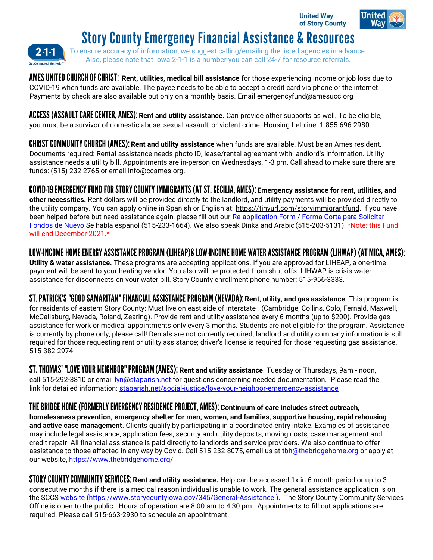**United Wav** of Story County



## **Story County Emergency Financial Assistance & Resources**

2.1.1

To ensure accuracy of information, we suggest calling/emailing the listed agencies in advance. Also, please note that Iowa 2-1-1 is a number you can call 24-7 for resource referrals.

AMES UNITED CHURCH OF CHRIST: Rent, utilities, medical bill assistance for those experiencing income or job loss due to COVID-19 when funds are available. The payee needs to be able to accept a credit card via phone or the internet. Payments by check are also available but only on a monthly basis. Emai[l emergencyfund@amesucc.org](mailto:emergencyfund@amesucc.org)

**ACCESS (ASSAULT CARE CENTER, AMES): Rent and utility assistance.** Can provide other supports as well. To be eligible, you must be a survivor of domestic abuse, sexual assault, or violent crime. Housing helpline: 1-855-696-2980

**CHRIST COMMUNITY CHURCH (AMES): Rent and utility assistance** when funds are available. Must be an Ames resident. Documents required: Rental assistance needs photo ID, lease/rental agreement with landlord's information. Utility assistance needs a utility bill. Appointments are in-person on Wednesdays, 1-3 pm. Call ahead to make sure there are funds: (515) 232-2765 or email [info@ccames.org.](mailto:info@ccames.org)

**Emergency assistance for rent, utilities, and other necessities.** Rent dollars will be provided directly to the landlord, and utility payments will be provided directly to the utility company. You can apply online in Spanish or English at: [https://tinyurl.com/storyimmigrantfund. I](https://tinyurl.com/storyimmigrantfund)f you have been helped before but need assistance again, please fill out our [Re-application Form](https://forms.gle/zf58b13Uzp6LjKZ29) / Forma Corta para Solicitar [Fondos](https://forms.gle/kmstXcbm2HVuLVbD7) [de Nuevo.S](https://forms.gle/kmstXcbm2HVuLVbD7)e habla espanol (515-233-1664). We also speak Dinka and Arabic (515-203-5131). \*Note: this Fund will end December 2021.\*

LOW-INCOME HOME ENERGY ASSISTANCE PROGRAM (LIHEAP)& LOW-INCOME HOME WATER ASSISTANCE PROGRAM (LIHWAP) (AT MICA, AMES): **Utility & water assistance.** These programs are accepting applications. If you are approved for LIHEAP, a one-time payment will be sent to your heating vendor. You also will be protected from shut-offs. LIHWAP is crisis water assistance for disconnects on your water bill. Story County enrollment phone number: 515-956-3333.

ST. PATRICK'S "GOOD SAMARITAN" FINANCIAL ASSISTANCE PROGRAM (NEVADA): Rent, utility, and gas assistance. This program is for residents of eastern Story County: Must live on east side of interstate (Cambridge, Collins, Colo, Fernald, Maxwell, McCallsburg, Nevada, Roland, Zearing). Provide rent and utility assistance every 6 months (up to \$200). Provide gas assistance for work or medical appointments only every 3 months. Students are not eligible for the program. Assistance is currently by phone only, please call! Denials are not currently required; landlord and utility company information is still required for those requesting rent or utility assistance; driver's license is required for those requesting gas assistance. 515-382-2974

**ST. THOMAS' "LOVE YOUR NEIGHBOR" PROGRAM (AMES): Rent and utility assistance**. Tuesday or Thursdays, 9am - noon, call 515-292-3810 or email *[lyn@staparish.net](mailto:lyn@staparish.net)* for questions concerning needed documentation. Please read the link for detailed information: [staparish.net/social-justice/love-your-neighbor-emergency-assistance](http://staparish.net/social-justice/love-your-neighbor-emergency-assistance)

THE BRIDGE HOME (FORMERLY EMERGENCY RESIDENCE PROJECT, AMES): Continuum of care includes street outreach, **homelessness prevention, emergency shelter for men, women, and families, supportive housing, rapid rehousing and active case management**. Clients qualify by participating in a coordinated entry intake. Examples of assistance may include legal assistance, application fees, security and utility deposits, moving costs, case management and credit repair. All financial assistance is paid directly to landlords and service providers. We also continue to offer assistance to those affected in any way by Covid. Call 515-232-8075, email us at thh@thebridgehome.org or apply at our website, <https://www.thebridgehome.org/>

**STORY COUNTY COMMUNITY SERVICES: Rent and utility assistance.** Help can be accessed 1x in 6 month period or up to 3 consecutive months if there is a medical reason individual is unable to work. The general assistance application is on the SCCS website [\(https://www.storycountyiowa.gov/345/General-Assistance \).](https://www.storycountyiowa.gov/345/General-Assistance) The Story County Community Services Office is open to the public. Hours of operation are 8:00 am to 4:30 pm. Appointments to fill out applications are required. Please call 515-663-2930 to schedule an appointment.